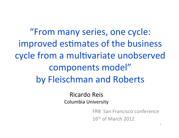"From many series, one cycle: improved estimates of the business cycle from a multivariate unobserved components model" by Fleischman and Roberts

> Ricardo Reis Columbia University

> > FRB San Francisco conference  $16<sup>th</sup>$  of March 2012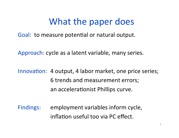#### What the paper does

Goal: to measure potential or natural output.

Approach: cycle as a latent variable, many series.

Innovation: 4 output, 4 labor market, one price series; 6 trends and measurement errors; an accelerationist Phillips curve.

Findings: employment variables inform cycle, inflation useful too via PC effect.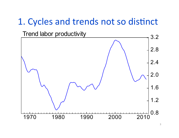#### 1. Cycles and trends not so distinct

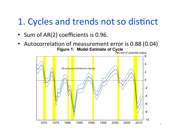### 1. Cycles and trends not so distinct

- Sum of AR(2) coefficients is 0.96.  $\bullet$
- Autocorrelation of measurement error is 0.88 (0.04) **Figure 1: Model Estimate of Cycle**

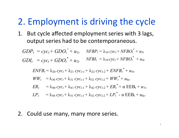#### 2. Employment is driving the cycle

1. But cycle affected employment series with 3 lags, output series had to be contemporaneous.

 $GDP_t = cyc_t + GDO_t^* + u_{1t}$   $NFBP_t = \lambda_{10} cyc_t + NFBO_t^* + u_{3t}$  $GDI_t = cyc_t + GDO_t^* + u_{2t}$   $NFBI_t = \lambda_{10} cyc_t + NFBO_t^* + u_{4t}$ 

$$
ENFB_t = \lambda_{20} cyc_t + \lambda_{21} cyc_{t-1} + \lambda_{22} cyc_{t-2} + ENFB_t^* + u_{5t}.
$$
  
\n
$$
WW_t = \lambda_{30} cyc_t + \lambda_{31} cyc_{t-1} + \lambda_{32} cyc_{t-2} + WW_t^* + u_{6t}.
$$
  
\n
$$
ER_t = \lambda_{40} cyc_t + \lambda_{41} cyc_{t-1} + \lambda_{42} cyc_{t-2} + ER_t^* + \alpha EEB_t + u_{7t}.
$$
  
\n
$$
LP_t = \lambda_{50} cyc_t + \lambda_{51} cyc_{t-1} + \lambda_{52} cyc_{t-2} + LP_t^* - \alpha EEB_t + u_{8t}.
$$

2. Could use many, many more series.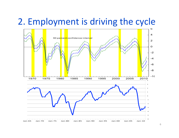#### 2. Employment is driving the cycle

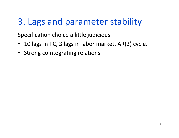# 3. Lags and parameter stability

Specification choice a little judicious

- 10 lags in PC, 3 lags in labor market, AR(2) cycle.  $\bullet$
- Strong cointegrating relations.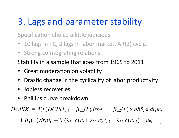# 3. Lags and parameter stability

Specification choice a little judicious

- 10 lags in PC, 3 lags in labor market, AR(2) cycle.
- Strong cointegrating relations.

Stability in a sample that goes from 1965 to 2011

- Great moderation on volatility
- Drastic change in the cyclicality of labor productivity
- Jobless recoveries
- Phillips curve breakdown

 $DCPLY_t = A(L) DCPIX_{t-1} + \beta_{11}(L) drpe_{t-1} + \beta_{12}(L) \times d85_t \times drpe_{t-1}$ 

+  $\beta_2(L)$  drpi<sub>t</sub> +  $\theta$  ( $\lambda_{50}$  cyc<sub>t</sub> +  $\lambda_{51}$  cyc<sub>t-1</sub> +  $\lambda_{52}$  cyc<sub>t-2</sub>) +  $u_{9t}$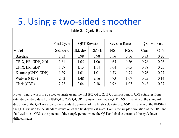# 5. Using a two-sided smoother

| <b>Table 8: Cycle Revisions</b>                                                                                                     |             |                     |             |                        |            |               |            |
|-------------------------------------------------------------------------------------------------------------------------------------|-------------|---------------------|-------------|------------------------|------------|---------------|------------|
|                                                                                                                                     | Final Cycle | <b>QRT</b> Revision |             | <b>Revision Ratios</b> |            | QRT vs. Final |            |
| Model                                                                                                                               | Std. dev.   | Std. dev.           | <b>RMSE</b> | <b>NS</b>              | <b>NSR</b> | Corr          | <b>OPS</b> |
| <b>Baseline</b>                                                                                                                     | 1.73        | 0.98                | 0.98        | 0.56                   | 0.56       | 0.83          | 0.20       |
| CPIX, ER, GDP, GDI                                                                                                                  | 1.61        | 1.05                | 1.06        | 0.65                   | 0.66       | 0.78          | 0.26       |
| CPIX, ER, GDP                                                                                                                       | 1.77        | 1.13                | 1.14        | 0.64                   | 0.65       | 0.78          | 0.25       |
| Kuttner (CPIX, GDP)                                                                                                                 | 1.39        | 1.01                | 1.01        | 0.73                   | 0.73       | 0.76          | 0.27       |
| Watson (GDP)                                                                                                                        | 2.03        | 1.48                | 2.16        | 0.73                   | 1.07       | 0.75          | 0.14       |
| Clark (GDP)                                                                                                                         | 2.23        | 2.04                | 2.38        | 0.92                   | 1.07       | 0.42          | 0.37       |
|                                                                                                                                     |             |                     |             |                        |            |               |            |
| Notes: Final cycle is the 2-sided estimate using the full 1963:Q2 to 2011:Q1 sample period; QRT estimates from                      |             |                     |             |                        |            |               |            |
| extending ending date from 1988:Q1 to 2008:Q4; QRT revisions are final $\epsilon$ -QRT $\epsilon$ ; NS is the ratio of the standard |             |                     |             |                        |            |               |            |
| deviation of the QRT revision to the standard deviation of the final cycle estimate; NSR is the ratio of the RMSE of                |             |                     |             |                        |            |               |            |
| the QRT revision to the standard deviation of the final cycle estimate; Corr is the simple correlation of the QRT and               |             |                     |             |                        |            |               |            |
| final estimates; OPS is the percent of the sample period where the QRT and final estimates of the cycle have                        |             |                     |             |                        |            |               |            |
| different signs.                                                                                                                    |             |                     |             |                        |            |               |            |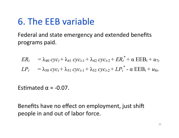# 6. The EEB variable

Federal and state emergency and extended benefits programs paid.

$$
ER_t = \lambda_{40} cyc_t + \lambda_{41} cyc_{t-1} + \lambda_{42} cyc_{t-2} + ER_t^* + \alpha EEB_t + u_{7t}
$$
  

$$
LP_t = \lambda_{50} cyc_t + \lambda_{51} cyc_{t-1} + \lambda_{52} cyc_{t-2} + LP_t^* - \alpha EEB_t + u_{8t}.
$$

Estimated  $\alpha$  = -0.07.

Benefits have no effect on employment, just shift people in and out of labor force.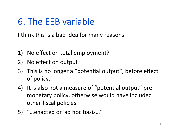# 6. The EEB variable

I think this is a bad idea for many reasons:

- 1) No effect on total employment?
- 2) No effect on output?
- 3) This is no longer a "potential output", before effect of policy.
- 4) It is also not a measure of "potential output" premonetary policy, otherwise would have included other fiscal policies.
- 5) "...enacted on ad hoc basis..."